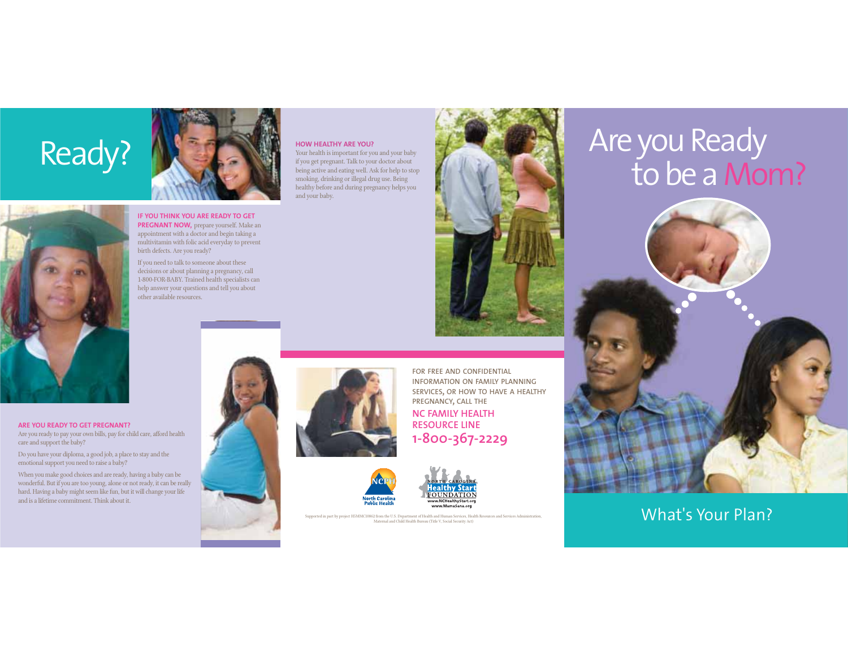

**ARE YOU READY TO GET PREGNANT?**

emotional support you need to raise a baby?

and is a lifetime commitment. Think about it.

Do you have your diploma, a good job, a place to stay and the

When you make good choices and are ready, having a baby can be wonderful. But if you are too young, alone or not ready, it can be really hard. Having a baby might seem like fun, but it will change your life

care and support the baby?





**IF YOU THINK YOU ARE READY TO GET PREGNANT NOW,** prepare yourself. Make an appointment with a doctor and begin taking a multivitamin with folic acid everyday to prevent

If you need to talk to someone about these decisions or about planning a pregnancy, call 1-800-FOR-BABY. Trained health specialists can help answer your questions and tell you about other available resources.

#### **HOW HEALTHY ARE YOU?**

 Your health is important for you and your baby if you get pregnant. Talk to your doctor about being active and eating well. Ask for help to stop smoking, drinking or illegal drug use. Being healthy before and during pregnancy helps you and your baby.



# Are you Ready to be a Mom?



### What's Your Plan?





**INFORMATION ON FAMILY PLANNINGSERVICES, OR HOW TO HAVE A HEALTHY PREGNANCY, CALL THE NC FAMILY HEALTH RESOURCE LINE1-800-367-2229**



**FOUNDATION** www.MamaSana.org

Supported in part by project H5MMC10862 from the U.S. Department of Health and Human Services, Health Resources and Services Ad Maternal and Child Health Bureau (Title V, Social Security Act)

**FOR FREE AND CONFIDENTIAL**